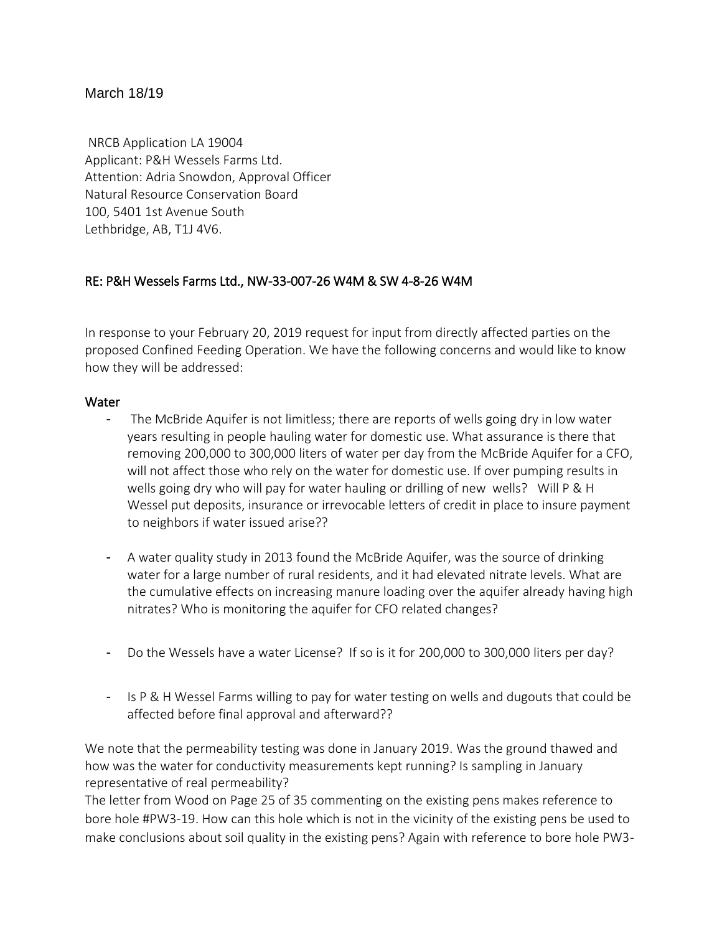## March 18/19

NRCB Application LA 19004 Applicant: P&H Wessels Farms Ltd. Attention: Adria Snowdon, Approval Officer Natural Resource Conservation Board 100, 5401 1st Avenue South Lethbridge, AB, T1J 4V6.

# RE: P&H Wessels Farms Ltd., NW-33-007-26 W4M & SW 4-8-26 W4M

In response to your February 20, 2019 request for input from directly affected parties on the proposed Confined Feeding Operation. We have the following concerns and would like to know how they will be addressed:

### **Water**

- The McBride Aquifer is not limitless; there are reports of wells going dry in low water years resulting in people hauling water for domestic use. What assurance is there that removing 200,000 to 300,000 liters of water per day from the McBride Aquifer for a CFO, will not affect those who rely on the water for domestic use. If over pumping results in wells going dry who will pay for water hauling or drilling of new wells? Will P & H Wessel put deposits, insurance or irrevocable letters of credit in place to insure payment to neighbors if water issued arise??
- A water quality study in 2013 found the McBride Aquifer, was the source of drinking water for a large number of rural residents, and it had elevated nitrate levels. What are the cumulative effects on increasing manure loading over the aquifer already having high nitrates? Who is monitoring the aquifer for CFO related changes?
- Do the Wessels have a water License? If so is it for 200,000 to 300,000 liters per day?
- Is P & H Wessel Farms willing to pay for water testing on wells and dugouts that could be affected before final approval and afterward??

We note that the permeability testing was done in January 2019. Was the ground thawed and how was the water for conductivity measurements kept running? Is sampling in January representative of real permeability?

The letter from Wood on Page 25 of 35 commenting on the existing pens makes reference to bore hole #PW3-19. How can this hole which is not in the vicinity of the existing pens be used to make conclusions about soil quality in the existing pens? Again with reference to bore hole PW3-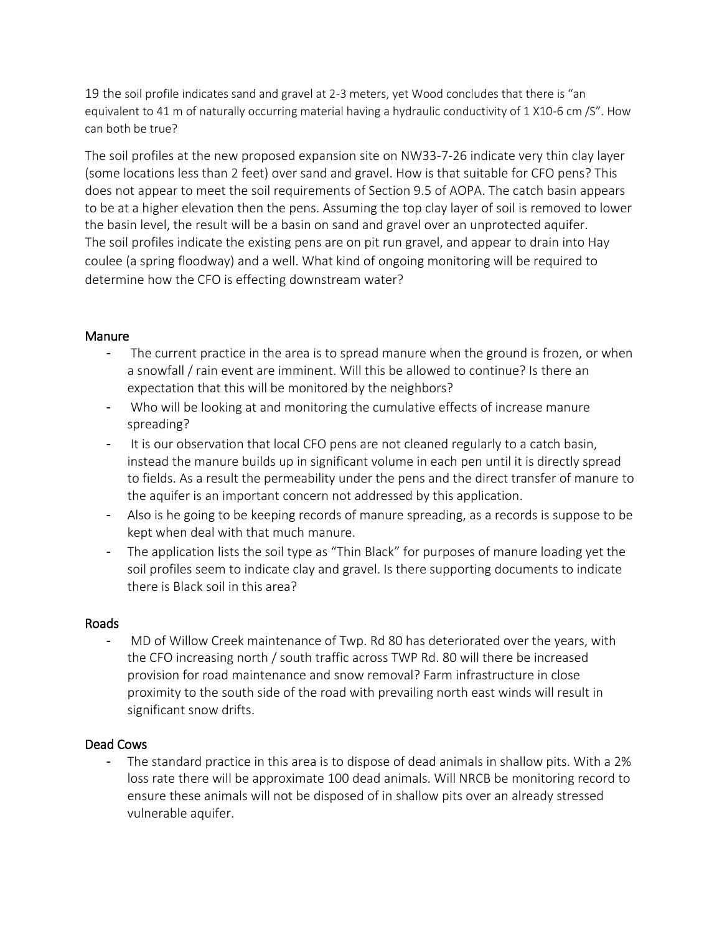19 the soil profile indicates sand and gravel at 2-3 meters, yet Wood concludes that there is "an equivalent to 41 m of naturally occurring material having a hydraulic conductivity of 1 X10-6 cm /S". How can both be true?

The soil profiles at the new proposed expansion site on NW33-7-26 indicate very thin clay layer (some locations less than 2 feet) over sand and gravel. How is that suitable for CFO pens? This does not appear to meet the soil requirements of Section 9.5 of AOPA. The catch basin appears to be at a higher elevation then the pens. Assuming the top clay layer of soil is removed to lower the basin level, the result will be a basin on sand and gravel over an unprotected aquifer. The soil profiles indicate the existing pens are on pit run gravel, and appear to drain into Hay coulee (a spring floodway) and a well. What kind of ongoing monitoring will be required to determine how the CFO is effecting downstream water?

### **Manure**

- The current practice in the area is to spread manure when the ground is frozen, or when a snowfall / rain event are imminent. Will this be allowed to continue? Is there an expectation that this will be monitored by the neighbors?
- Who will be looking at and monitoring the cumulative effects of increase manure spreading?
- It is our observation that local CFO pens are not cleaned regularly to a catch basin, instead the manure builds up in significant volume in each pen until it is directly spread to fields. As a result the permeability under the pens and the direct transfer of manure to the aquifer is an important concern not addressed by this application.
- Also is he going to be keeping records of manure spreading, as a records is suppose to be kept when deal with that much manure.
- The application lists the soil type as "Thin Black" for purposes of manure loading yet the soil profiles seem to indicate clay and gravel. Is there supporting documents to indicate there is Black soil in this area?

#### Roads

- MD of Willow Creek maintenance of Twp. Rd 80 has deteriorated over the years, with the CFO increasing north / south traffic across TWP Rd. 80 will there be increased provision for road maintenance and snow removal? Farm infrastructure in close proximity to the south side of the road with prevailing north east winds will result in significant snow drifts.

## Dead Cows

- The standard practice in this area is to dispose of dead animals in shallow pits. With a 2% loss rate there will be approximate 100 dead animals. Will NRCB be monitoring record to ensure these animals will not be disposed of in shallow pits over an already stressed vulnerable aquifer.